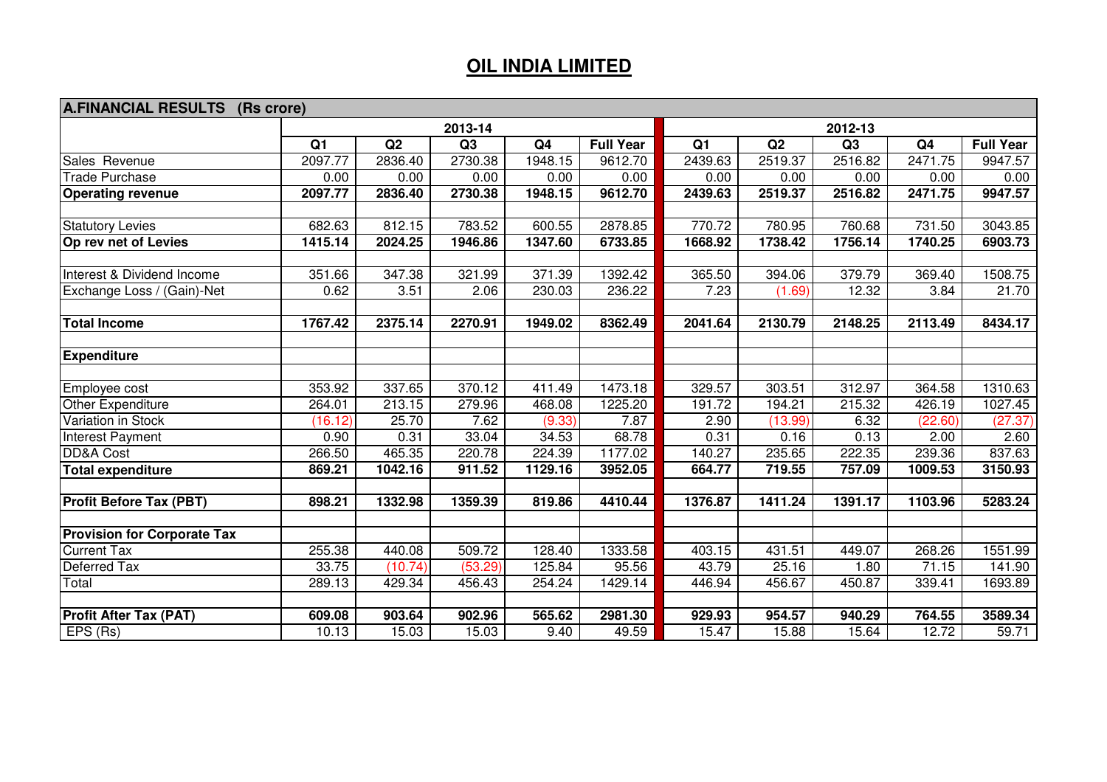## **OIL INDIA LIMITED**

| <b>A.FINANCIAL RESULTS</b><br>(Rs crore)                 |                 |         |         |         |                  |                 |         |         |                |                  |
|----------------------------------------------------------|-----------------|---------|---------|---------|------------------|-----------------|---------|---------|----------------|------------------|
|                                                          |                 | 2012-13 |         |         |                  |                 |         |         |                |                  |
|                                                          | $\overline{Q1}$ | Q2      | Q3      | Q4      | <b>Full Year</b> | $\overline{Q1}$ | Q2      | Q3      | Q <sub>4</sub> | <b>Full Year</b> |
| Sales Revenue                                            | 2097.77         | 2836.40 | 2730.38 | 1948.15 | 9612.70          | 2439.63         | 2519.37 | 2516.82 | 2471.75        | 9947.57          |
| <b>Trade Purchase</b>                                    | 0.00            | 0.00    | 0.00    | 0.00    | 0.00             | 0.00            | 0.00    | 0.00    | 0.00           | 0.00             |
| <b>Operating revenue</b>                                 | 2097.77         | 2836.40 | 2730.38 | 1948.15 | 9612.70          | 2439.63         | 2519.37 | 2516.82 | 2471.75        | 9947.57          |
| <b>Statutory Levies</b>                                  | 682.63          | 812.15  | 783.52  | 600.55  | 2878.85          | 770.72          | 780.95  | 760.68  | 731.50         | 3043.85          |
| Op rev net of Levies                                     | 1415.14         | 2024.25 | 1946.86 | 1347.60 | 6733.85          | 1668.92         | 1738.42 | 1756.14 | 1740.25        | 6903.73          |
| Interest & Dividend Income                               | 351.66          | 347.38  | 321.99  | 371.39  | 1392.42          | 365.50          | 394.06  | 379.79  | 369.40         | 1508.75          |
| Exchange Loss / (Gain)-Net                               | 0.62            | 3.51    | 2.06    | 230.03  | 236.22           | 7.23            | (1.69)  | 12.32   | 3.84           | 21.70            |
| <b>Total Income</b>                                      | 1767.42         | 2375.14 | 2270.91 | 1949.02 | 8362.49          | 2041.64         | 2130.79 | 2148.25 | 2113.49        | 8434.17          |
|                                                          |                 |         |         |         |                  |                 |         |         |                |                  |
| <b>Expenditure</b>                                       |                 |         |         |         |                  |                 |         |         |                |                  |
| Employee cost                                            | 353.92          | 337.65  | 370.12  | 411.49  | 1473.18          | 329.57          | 303.51  | 312.97  | 364.58         | 1310.63          |
| Other Expenditure                                        | 264.01          | 213.15  | 279.96  | 468.08  | 1225.20          | 191.72          | 194.21  | 215.32  | 426.19         | 1027.45          |
| Variation in Stock                                       | (16.12)         | 25.70   | 7.62    | (9.33)  | 7.87             | 2.90            | (13.99) | 6.32    | (22.60)        | (27.37)          |
| Interest Payment                                         | 0.90            | 0.31    | 33.04   | 34.53   | 68.78            | 0.31            | 0.16    | 0.13    | 2.00           | 2.60             |
| DD&A Cost                                                | 266.50          | 465.35  | 220.78  | 224.39  | 1177.02          | 140.27          | 235.65  | 222.35  | 239.36         | 837.63           |
| <b>Total expenditure</b>                                 | 869.21          | 1042.16 | 911.52  | 1129.16 | 3952.05          | 664.77          | 719.55  | 757.09  | 1009.53        | 3150.93          |
| <b>Profit Before Tax (PBT)</b>                           | 898.21          | 1332.98 | 1359.39 | 819.86  | 4410.44          | 1376.87         | 1411.24 | 1391.17 | 1103.96        | 5283.24          |
|                                                          |                 |         |         |         |                  |                 |         |         |                |                  |
| <b>Provision for Corporate Tax</b><br><b>Current Tax</b> | 255.38          | 440.08  | 509.72  | 128.40  | 1333.58          | 403.15          | 431.51  | 449.07  | 268.26         | 1551.99          |
| Deferred Tax                                             | 33.75           | (10.74) | (53.29) | 125.84  | 95.56            | 43.79           | 25.16   | 1.80    | 71.15          | 141.90           |
| Total                                                    | 289.13          | 429.34  | 456.43  | 254.24  | 1429.14          | 446.94          | 456.67  | 450.87  | 339.41         | 1693.89          |
|                                                          |                 |         |         |         |                  |                 |         |         |                |                  |
| <b>Profit After Tax (PAT)</b>                            | 609.08          | 903.64  | 902.96  | 565.62  | 2981.30          | 929.93          | 954.57  | 940.29  | 764.55         | 3589.34          |
| EPS (Rs)                                                 | 10.13           | 15.03   | 15.03   | 9.40    | 49.59            | 15.47           | 15.88   | 15.64   | 12.72          | 59.71            |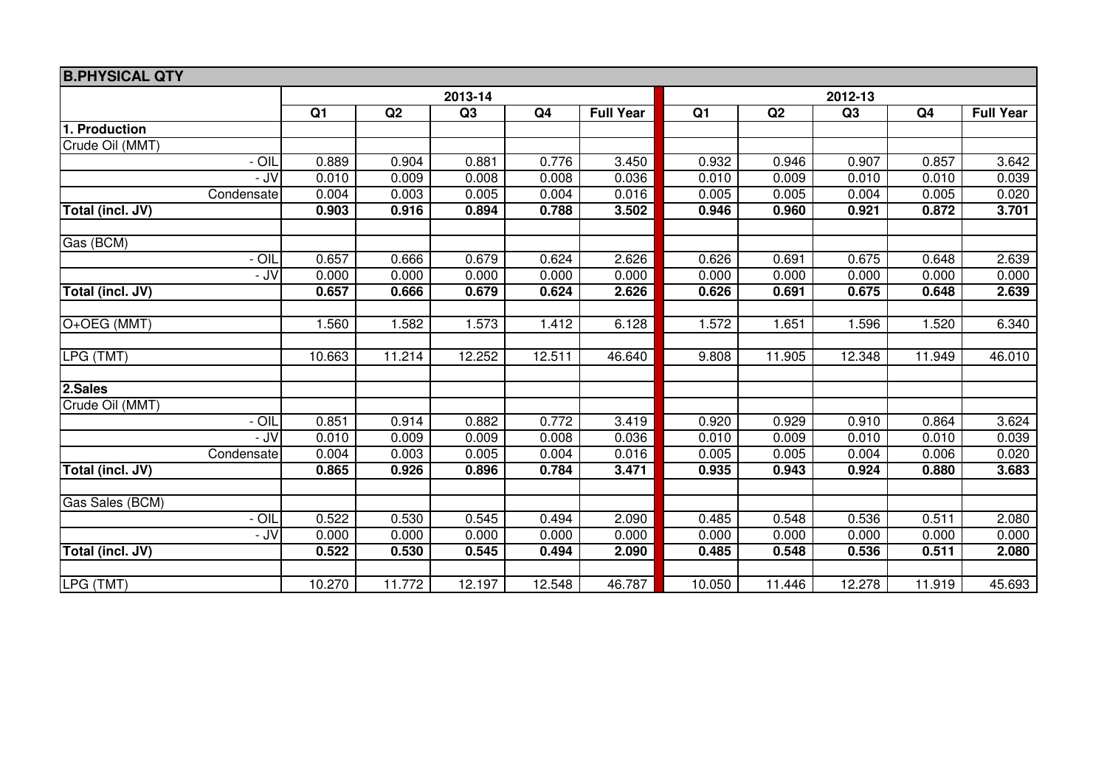| <b>B.PHYSICAL QTY</b> |                |        |                |                |                  |                |        |                |                |                  |
|-----------------------|----------------|--------|----------------|----------------|------------------|----------------|--------|----------------|----------------|------------------|
|                       |                |        | 2013-14        |                | 2012-13          |                |        |                |                |                  |
|                       | Q <sub>1</sub> | Q2     | Q <sub>3</sub> | Q <sub>4</sub> | <b>Full Year</b> | Q <sub>1</sub> | Q2     | Q <sub>3</sub> | Q <sub>4</sub> | <b>Full Year</b> |
| Production            |                |        |                |                |                  |                |        |                |                |                  |
| Crude Oil (MMT)       |                |        |                |                |                  |                |        |                |                |                  |
| - OIL                 | 0.889          | 0.904  | 0.881          | 0.776          | 3.450            | 0.932          | 0.946  | 0.907          | 0.857          | 3.642            |
| - JV                  | 0.010          | 0.009  | 0.008          | 0.008          | 0.036            | 0.010          | 0.009  | 0.010          | 0.010          | 0.039            |
| Condensate            | 0.004          | 0.003  | 0.005          | 0.004          | 0.016            | 0.005          | 0.005  | 0.004          | 0.005          | 0.020            |
| Total (incl. JV)      | 0.903          | 0.916  | 0.894          | 0.788          | 3.502            | 0.946          | 0.960  | 0.921          | 0.872          | 3.701            |
|                       |                |        |                |                |                  |                |        |                |                |                  |
| Gas (BCM)             |                |        |                |                |                  |                |        |                |                |                  |
| $ OIL$                | 0.657          | 0.666  | 0.679          | 0.624          | 2.626            | 0.626          | 0.691  | 0.675          | 0.648          | 2.639            |
| - JV                  | 0.000          | 0.000  | 0.000          | 0.000          | 0.000            | 0.000          | 0.000  | 0.000          | 0.000          | 0.000            |
| Total (incl. JV)      | 0.657          | 0.666  | 0.679          | 0.624          | 2.626            | 0.626          | 0.691  | 0.675          | 0.648          | 2.639            |
| O+OEG (MMT)           | 1.560          | 1.582  | 1.573          | 1.412          | 6.128            | 1.572          | 1.651  | 1.596          | 1.520          | 6.340            |
|                       |                |        |                |                |                  |                |        |                |                |                  |
| LPG(TMT)              | 10.663         | 11.214 | 12.252         | 12.511         | 46.640           | 9.808          | 11.905 | 12.348         | 11.949         | 46.010           |
|                       |                |        |                |                |                  |                |        |                |                |                  |
| 2.Sales               |                |        |                |                |                  |                |        |                |                |                  |
| Crude Oil (MMT)       |                |        |                |                |                  |                |        |                |                |                  |
| - OIL                 | 0.851          | 0.914  | 0.882          | 0.772          | 3.419            | 0.920          | 0.929  | 0.910          | 0.864          | 3.624            |
| - JV                  | 0.010          | 0.009  | 0.009          | 0.008          | 0.036            | 0.010          | 0.009  | 0.010          | 0.010          | 0.039            |
| Condensate            | 0.004          | 0.003  | 0.005          | 0.004          | 0.016            | 0.005          | 0.005  | 0.004          | 0.006          | 0.020            |
| Total (incl. JV)      | 0.865          | 0.926  | 0.896          | 0.784          | 3.471            | 0.935          | 0.943  | 0.924          | 0.880          | 3.683            |
| Gas Sales (BCM)       |                |        |                |                |                  |                |        |                |                |                  |
| - OIL                 | 0.522          | 0.530  | 0.545          | 0.494          | 2.090            | 0.485          | 0.548  | 0.536          | 0.511          | 2.080            |
| - JV                  | 0.000          | 0.000  | 0.000          | 0.000          | 0.000            | 0.000          | 0.000  | 0.000          | 0.000          | 0.000            |
| Total (incl. JV)      | 0.522          | 0.530  | 0.545          | 0.494          | 2.090            | 0.485          | 0.548  | 0.536          | 0.511          | 2.080            |
|                       |                |        |                |                |                  |                |        |                |                |                  |
| LPG (TMT)             | 10.270         | 11.772 | 12.197         | 12.548         | 46.787           | 10.050         | 11.446 | 12.278         | 11.919         | 45.693           |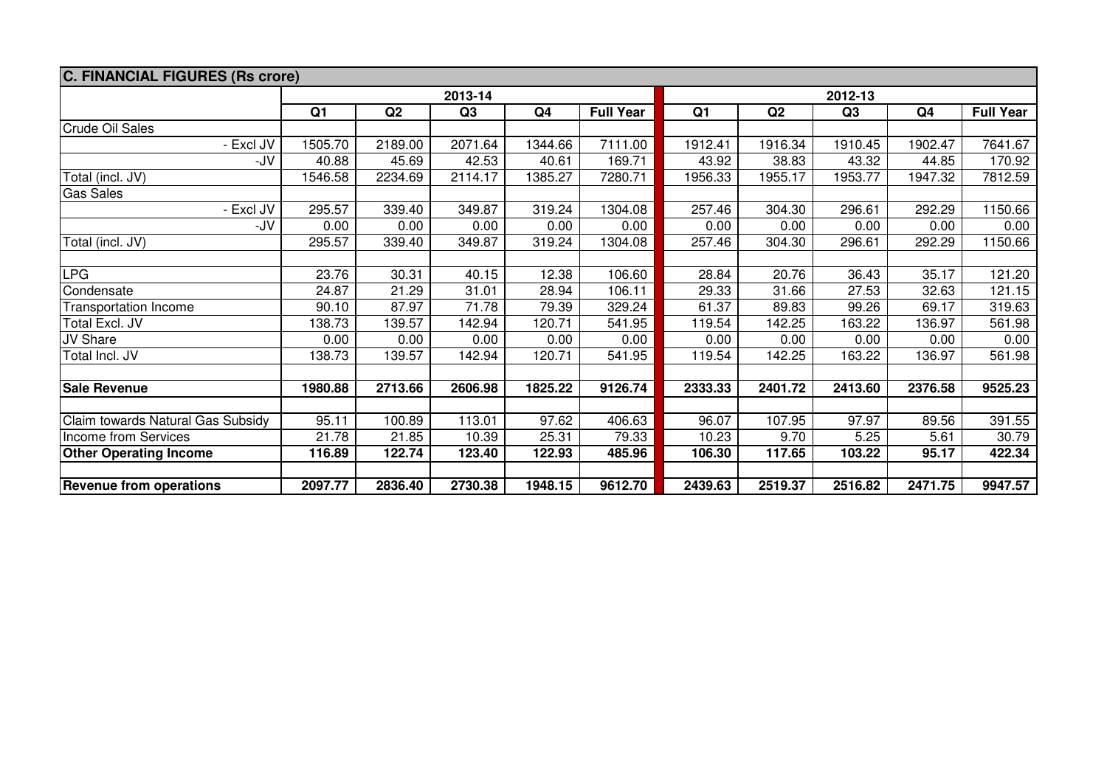| C. FINANCIAL FIGURES (Rs crore)   |                |         |                |                |                  |         |         |         |                |                  |  |
|-----------------------------------|----------------|---------|----------------|----------------|------------------|---------|---------|---------|----------------|------------------|--|
|                                   | 2013-14        |         |                |                |                  | 2012-13 |         |         |                |                  |  |
|                                   | Q <sub>1</sub> | Q2      | Q <sub>3</sub> | Q <sub>4</sub> | <b>Full Year</b> | Q1      | Q2      | Q3      | Q <sub>4</sub> | <b>Full Year</b> |  |
| <b>Crude Oil Sales</b>            |                |         |                |                |                  |         |         |         |                |                  |  |
| - Excl JV                         | 1505.70        | 2189.00 | 2071.64        | 1344.66        | 7111.00          | 1912.41 | 1916.34 | 1910.45 | 1902.47        | 7641.67          |  |
| -JV                               | 40.88          | 45.69   | 42.53          | 40.61          | 169.71           | 43.92   | 38.83   | 43.32   | 44.85          | 170.92           |  |
| Total (incl. JV)                  | 1546.58        | 2234.69 | 2114.17        | 1385.27        | 7280.71          | 1956.33 | 1955.17 | 1953.77 | 1947.32        | 7812.59          |  |
| <b>Gas Sales</b>                  |                |         |                |                |                  |         |         |         |                |                  |  |
| - Excl JV                         | 295.57         | 339.40  | 349.87         | 319.24         | 1304.08          | 257.46  | 304.30  | 296.61  | 292.29         | 1150.66          |  |
| -JV                               | 0.00           | 0.00    | 0.00           | 0.00           | 0.00             | 0.00    | 0.00    | 0.00    | 0.00           | 0.00             |  |
| Total (incl. JV)                  | 295.57         | 339.40  | 349.87         | 319.24         | 1304.08          | 257.46  | 304.30  | 296.61  | 292.29         | 1150.66          |  |
|                                   |                |         |                |                |                  |         |         |         |                |                  |  |
| <b>LPG</b>                        | 23.76          | 30.31   | 40.15          | 12.38          | 106.60           | 28.84   | 20.76   | 36.43   | 35.17          | 121.20           |  |
| Condensate                        | 24.87          | 21.29   | 31.01          | 28.94          | 106.11           | 29.33   | 31.66   | 27.53   | 32.63          | 121.15           |  |
| <b>Transportation Income</b>      | 90.10          | 87.97   | 71.78          | 79.39          | 329.24           | 61.37   | 89.83   | 99.26   | 69.17          | 319.63           |  |
| Total Excl. JV                    | 138.73         | 139.57  | 142.94         | 120.71         | 541.95           | 119.54  | 142.25  | 163.22  | 136.97         | 561.98           |  |
| JV Share                          | 0.00           | 0.00    | 0.00           | 0.00           | 0.00             | 0.00    | 0.00    | 0.00    | 0.00           | 0.00             |  |
| Total Incl. JV                    | 138.73         | 139.57  | 142.94         | 120.71         | 541.95           | 119.54  | 142.25  | 163.22  | 136.97         | 561.98           |  |
|                                   |                |         |                |                |                  |         |         |         |                |                  |  |
| <b>Sale Revenue</b>               | 1980.88        | 2713.66 | 2606.98        | 1825.22        | 9126.74          | 2333.33 | 2401.72 | 2413.60 | 2376.58        | 9525.23          |  |
|                                   |                |         |                |                |                  |         |         |         |                |                  |  |
| Claim towards Natural Gas Subsidy | 95.11          | 100.89  | 113.01         | 97.62          | 406.63           | 96.07   | 107.95  | 97.97   | 89.56          | 391.55           |  |
| Income from Services              | 21.78          | 21.85   | 10.39          | 25.31          | 79.33            | 10.23   | 9.70    | 5.25    | 5.61           | 30.79            |  |
| <b>Other Operating Income</b>     | 116.89         | 122.74  | 123.40         | 122.93         | 485.96           | 106.30  | 117.65  | 103.22  | 95.17          | 422.34           |  |
|                                   |                |         |                |                |                  |         |         |         |                |                  |  |
| <b>Revenue from operations</b>    | 2097.77        | 2836.40 | 2730.38        | 1948.15        | 9612.70          | 2439.63 | 2519.37 | 2516.82 | 2471.75        | 9947.57          |  |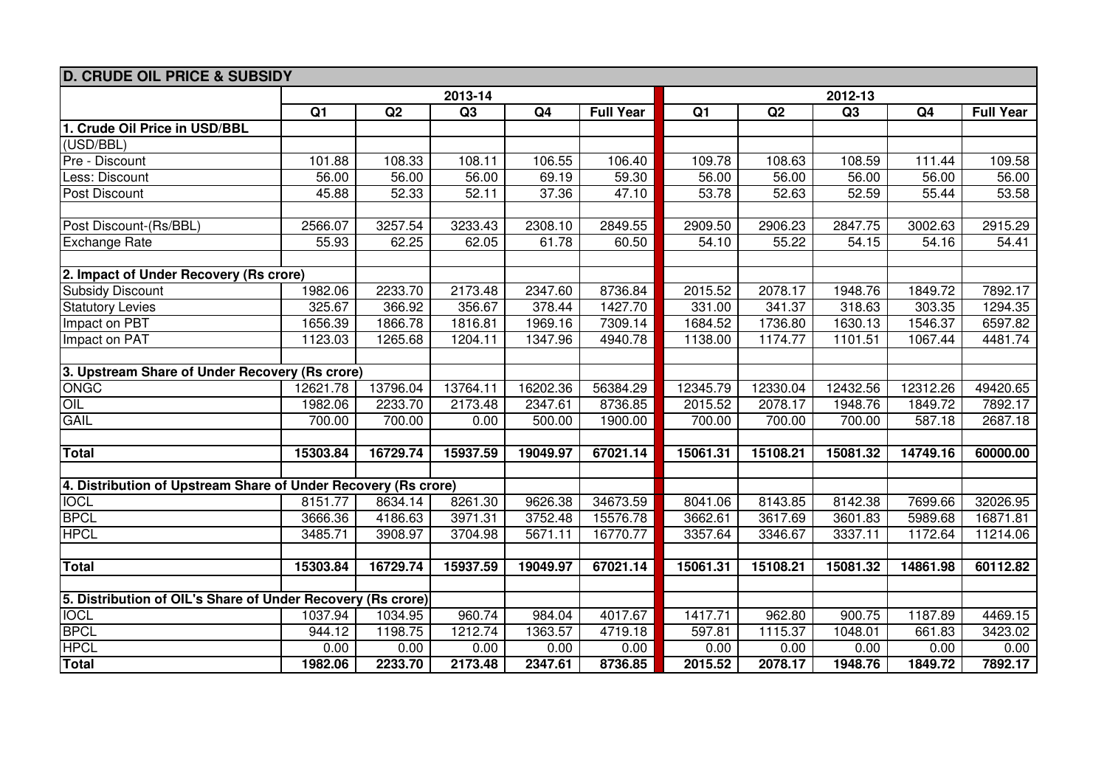| <b>D. CRUDE OIL PRICE &amp; SUBSIDY</b>                        |                 |          |          |          |                  |                 |          |          |          |                  |  |  |
|----------------------------------------------------------------|-----------------|----------|----------|----------|------------------|-----------------|----------|----------|----------|------------------|--|--|
|                                                                |                 |          | 2013-14  |          |                  | 2012-13         |          |          |          |                  |  |  |
|                                                                | $\overline{Q1}$ | Q2       | Q3       | Q4       | <b>Full Year</b> | $\overline{Q1}$ | Q2       | Q3       | Q4       | <b>Full Year</b> |  |  |
| 1. Crude Oil Price in USD/BBL                                  |                 |          |          |          |                  |                 |          |          |          |                  |  |  |
| (USD/BBL)                                                      |                 |          |          |          |                  |                 |          |          |          |                  |  |  |
| Pre - Discount                                                 | 101.88          | 108.33   | 108.11   | 106.55   | 106.40           | 109.78          | 108.63   | 108.59   | 111.44   | 109.58           |  |  |
| Less: Discount                                                 | 56.00           | 56.00    | 56.00    | 69.19    | 59.30            | 56.00           | 56.00    | 56.00    | 56.00    | 56.00            |  |  |
| Post Discount                                                  | 45.88           | 52.33    | 52.11    | 37.36    | 47.10            | 53.78           | 52.63    | 52.59    | 55.44    | 53.58            |  |  |
|                                                                |                 |          |          |          |                  |                 |          |          |          |                  |  |  |
| Post Discount-(Rs/BBL)                                         | 2566.07         | 3257.54  | 3233.43  | 2308.10  | 2849.55          | 2909.50         | 2906.23  | 2847.75  | 3002.63  | 2915.29          |  |  |
| <b>Exchange Rate</b>                                           | 55.93           | 62.25    | 62.05    | 61.78    | 60.50            | 54.10           | 55.22    | 54.15    | 54.16    | 54.41            |  |  |
|                                                                |                 |          |          |          |                  |                 |          |          |          |                  |  |  |
| 2. Impact of Under Recovery (Rs crore)                         |                 |          |          |          |                  |                 |          |          |          |                  |  |  |
| <b>Subsidy Discount</b>                                        | 1982.06         | 2233.70  | 2173.48  | 2347.60  | 8736.84          | 2015.52         | 2078.17  | 1948.76  | 1849.72  | 7892.17          |  |  |
| <b>Statutory Levies</b>                                        | 325.67          | 366.92   | 356.67   | 378.44   | 1427.70          | 331.00          | 341.37   | 318.63   | 303.35   | 1294.35          |  |  |
| Impact on PBT                                                  | 1656.39         | 1866.78  | 1816.81  | 1969.16  | 7309.14          | 1684.52         | 1736.80  | 1630.13  | 1546.37  | 6597.82          |  |  |
| Impact on PAT                                                  | 1123.03         | 1265.68  | 1204.11  | 1347.96  | 4940.78          | 1138.00         | 1174.77  | 1101.51  | 1067.44  | 4481.74          |  |  |
| 3. Upstream Share of Under Recovery (Rs crore)                 |                 |          |          |          |                  |                 |          |          |          |                  |  |  |
| <b>ONGC</b>                                                    | 12621.78        | 13796.04 | 13764.11 | 16202.36 | 56384.29         | 12345.79        | 12330.04 | 12432.56 | 12312.26 | 49420.65         |  |  |
| OIL                                                            | 1982.06         | 2233.70  | 2173.48  | 2347.61  | 8736.85          | 2015.52         | 2078.17  | 1948.76  | 1849.72  | 7892.17          |  |  |
| <b>GAIL</b>                                                    | 700.00          | 700.00   | 0.00     | 500.00   | 1900.00          | 700.00          | 700.00   | 700.00   | 587.18   | 2687.18          |  |  |
|                                                                |                 |          |          |          |                  |                 |          |          |          |                  |  |  |
| <b>Total</b>                                                   | 15303.84        | 16729.74 | 15937.59 | 19049.97 | 67021.14         | 15061.31        | 15108.21 | 15081.32 | 14749.16 | 60000.00         |  |  |
|                                                                |                 |          |          |          |                  |                 |          |          |          |                  |  |  |
| 4. Distribution of Upstream Share of Under Recovery (Rs crore) |                 |          |          |          |                  |                 |          |          |          |                  |  |  |
| <b>IOCL</b>                                                    | 8151.77         | 8634.14  | 8261.30  | 9626.38  | 34673.59         | 8041.06         | 8143.85  | 8142.38  | 7699.66  | 32026.95         |  |  |
| <b>BPCL</b>                                                    | 3666.36         | 4186.63  | 3971.31  | 3752.48  | 15576.78         | 3662.61         | 3617.69  | 3601.83  | 5989.68  | 16871.81         |  |  |
| <b>HPCL</b>                                                    | 3485.71         | 3908.97  | 3704.98  | 5671.11  | 16770.77         | 3357.64         | 3346.67  | 3337.11  | 1172.64  | 11214.06         |  |  |
|                                                                |                 |          |          |          |                  |                 |          |          |          |                  |  |  |
| <b>Total</b>                                                   | 15303.84        | 16729.74 | 15937.59 | 19049.97 | 67021.14         | 15061.31        | 15108.21 | 15081.32 | 14861.98 | 60112.82         |  |  |
|                                                                |                 |          |          |          |                  |                 |          |          |          |                  |  |  |
| 5. Distribution of OIL's Share of Under Recovery (Rs crore)    |                 |          |          |          |                  |                 |          |          |          |                  |  |  |
| <b>IOCL</b>                                                    | 1037.94         | 1034.95  | 960.74   | 984.04   | 4017.67          | 1417.71         | 962.80   | 900.75   | 1187.89  | 4469.15          |  |  |
| <b>BPCL</b>                                                    | 944.12          | 1198.75  | 1212.74  | 1363.57  | 4719.18          | 597.81          | 1115.37  | 1048.01  | 661.83   | 3423.02          |  |  |
| <b>HPCL</b>                                                    | 0.00            | 0.00     | 0.00     | 0.00     | 0.00             | 0.00            | 0.00     | 0.00     | 0.00     | 0.00             |  |  |
| <b>Total</b>                                                   | 1982.06         | 2233.70  | 2173.48  | 2347.61  | 8736.85          | 2015.52         | 2078.17  | 1948.76  | 1849.72  | 7892.17          |  |  |